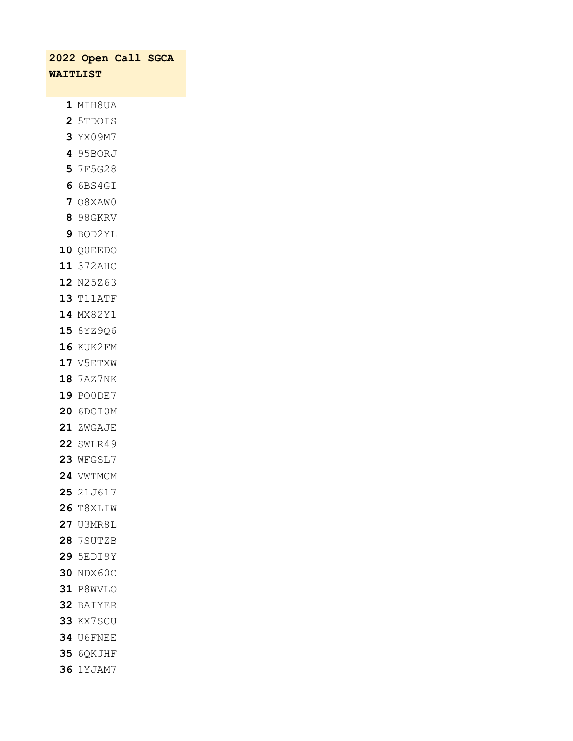| 2022 Open Call SGCA |  |
|---------------------|--|
| <b>WAITLIST</b>     |  |
|                     |  |
| 1 MIH8UA            |  |
| 2 5TDOIS            |  |
| 3 YX09M7            |  |
| 4 95BORJ            |  |
| 5 7F5G28            |  |
| 6 6BS4GI            |  |
| 7 08XAW0            |  |
| 8 98GKRV            |  |
| 9 BOD2YL            |  |
| 10 QOEEDO           |  |
| 11 372AHC           |  |
| 12 N25Z63           |  |
| <b>13 T11ATF</b>    |  |
| 14 MX82Y1           |  |
| 15 8YZ9Q6           |  |
| <b>16 KUK2FM</b>    |  |
| 17 V5ETXW           |  |
| 18 7AZ7NK           |  |
| 19 POODE7           |  |
| <b>20 6DGIOM</b>    |  |
| 21 ZWGAJE           |  |
| <b>22 SWLR49</b>    |  |
| <b>23 WFGSL7</b>    |  |
| 24 VWTMCM           |  |
| 25 21J617           |  |
| <b>26 T8XLIW</b>    |  |
| <b>27 U3MR8L</b>    |  |
| <b>28 7SUTZB</b>    |  |
| 29 5EDI9Y           |  |
| 30 NDX60C           |  |
| 31 P8WVLO           |  |
| 32 BAIYER           |  |
| 33 KX7SCU           |  |
| <b>34 U6FNEE</b>    |  |
| 35 6QKJHF           |  |
| <b>36 1YJAM7</b>    |  |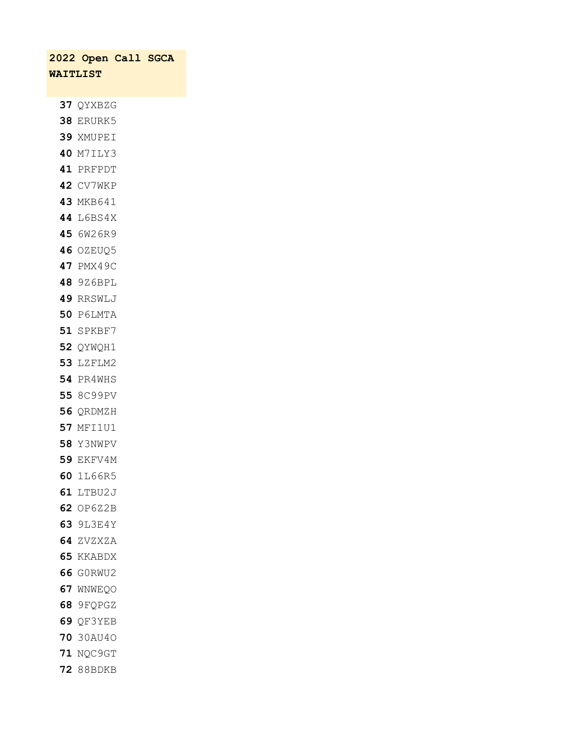|                 | 2022 Open Call SGCA           |  |
|-----------------|-------------------------------|--|
| <b>WAITLIST</b> |                               |  |
|                 |                               |  |
|                 | 37 QYXBZG                     |  |
|                 | <b>38 ERURK5</b>              |  |
|                 | 39 XMUPEI                     |  |
|                 | <b>40 M7ILY3</b>              |  |
|                 | 41 PRFPDT                     |  |
|                 | <b>42 CV7WKP</b>              |  |
|                 | 43 MKB641                     |  |
|                 | <b>44 L6BS4X</b>              |  |
|                 | 45 6W26R9                     |  |
|                 | <b>46 OZEUQ5</b>              |  |
|                 | 47 PMX49C                     |  |
|                 | <b>48 9Z6BPL</b>              |  |
|                 | 49 RRSWLJ                     |  |
|                 | <b>50 P6LMTA</b>              |  |
|                 | 51 SPKBF7                     |  |
|                 | 52 QYWQH1                     |  |
|                 | <b>53 LZFLM2</b>              |  |
|                 | 54 PR4WHS                     |  |
|                 | 55 8C99PV                     |  |
|                 | 56 QRDMZH                     |  |
|                 | <b>57 MFI1U1</b>              |  |
|                 | <b>58</b> Y3NWPV              |  |
|                 | <b>59 EKFV4M</b><br>60 1L66R5 |  |
|                 | <b>61 LTBU2J</b>              |  |
|                 | 62 OP6Z2B                     |  |
|                 | <b>63 9L3E4Y</b>              |  |
|                 | 64 ZVZXZA                     |  |
|                 | 65 KKABDX                     |  |
|                 | <b>66 GORWU2</b>              |  |
|                 | 67 WNWEQO                     |  |
|                 | 68 9FQPGZ                     |  |
|                 | 69 QF3YEB                     |  |
|                 | 70 30AU40                     |  |
|                 | 71 NQC9GT                     |  |
|                 | <b>72</b> 88BDKB              |  |
|                 |                               |  |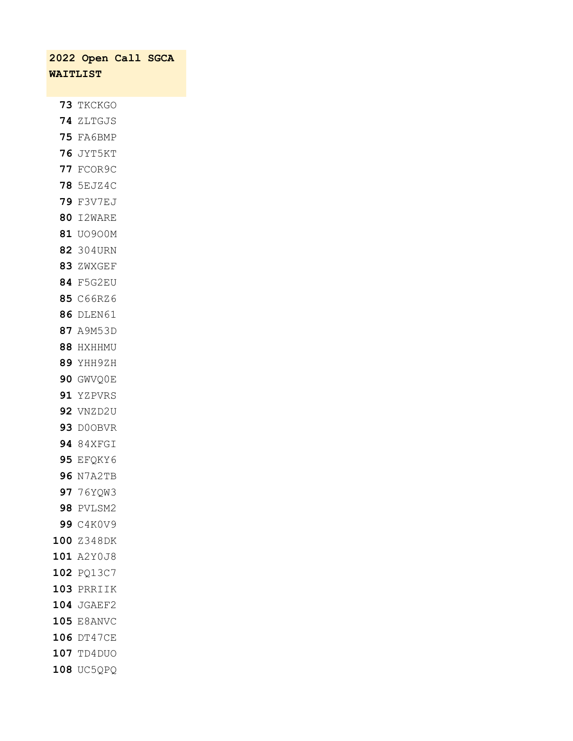|                 | 2022 Open Call SGCA |  |  |  |  |
|-----------------|---------------------|--|--|--|--|
| <b>WAITLIST</b> |                     |  |  |  |  |
|                 |                     |  |  |  |  |
|                 | 73 TKCKGO           |  |  |  |  |
|                 | 74 ZLTGJS           |  |  |  |  |
|                 | <b>75 FA6BMP</b>    |  |  |  |  |
|                 | 76 JYT5KT           |  |  |  |  |
|                 | 77 FCOR9C           |  |  |  |  |
|                 | <b>78 5EJZ4C</b>    |  |  |  |  |
|                 | <b>79 F3V7EJ</b>    |  |  |  |  |
|                 | <b>80 I2WARE</b>    |  |  |  |  |
|                 | 81 U0900M           |  |  |  |  |
|                 | 82 304URN           |  |  |  |  |
|                 | 83 ZWXGEF           |  |  |  |  |
|                 | <b>84 F5G2EU</b>    |  |  |  |  |
|                 | 85 C66RZ6           |  |  |  |  |
|                 | <b>86 DLEN61</b>    |  |  |  |  |
|                 | 87 A9M53D           |  |  |  |  |
|                 | 88 HXHHMU           |  |  |  |  |
|                 | 89 YHH9ZH           |  |  |  |  |
|                 | 90 GWVQ0E           |  |  |  |  |
|                 | 91 YZPVRS           |  |  |  |  |
|                 | 92 VNZD2U           |  |  |  |  |
|                 | 93 D00BVR           |  |  |  |  |
|                 | 94 84XFGI           |  |  |  |  |
|                 | 95 EFQKY6           |  |  |  |  |
| 96              | N7A2TB              |  |  |  |  |
|                 | 97 76YQW3           |  |  |  |  |
|                 | <b>98 PVLSM2</b>    |  |  |  |  |
|                 | 99 C4K0V9           |  |  |  |  |
|                 | 100 Z348DK          |  |  |  |  |
|                 | 101 A2Y0J8          |  |  |  |  |
|                 | 102 PQ13C7          |  |  |  |  |
|                 | 103 PRRIIK          |  |  |  |  |
|                 | 104 JGAEF2          |  |  |  |  |
|                 | 105 E8ANVC          |  |  |  |  |
|                 | 106 DT47CE          |  |  |  |  |
|                 | 107 TD4DUO          |  |  |  |  |
| 108             | UC5QPQ              |  |  |  |  |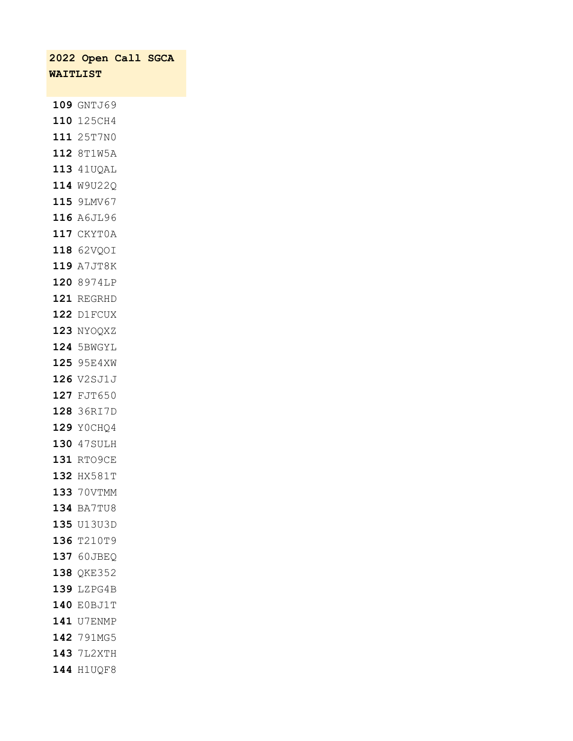|                 | 2022 Open Call SGCA |  |
|-----------------|---------------------|--|
| <b>WAITLIST</b> |                     |  |
|                 |                     |  |
|                 | 109 GNTJ69          |  |
|                 | 110 125CH4          |  |
|                 | 111 25T7N0          |  |
|                 | 112 8T1W5A          |  |
|                 | 113 41UQAL          |  |
|                 | 114 W9U22Q          |  |
|                 | 115 9LMV67          |  |
|                 | 116 A6JL96          |  |
|                 | 117 CKYT0A          |  |
|                 | 118 62VQOI          |  |
|                 | 119 A7JT8K          |  |
|                 | 120 8974LP          |  |
|                 | 121 REGRHD          |  |
|                 | 122 D1FCUX          |  |
|                 | 123 NYOQXZ          |  |
|                 | 124 5BWGYL          |  |
|                 | 125 95E4XW          |  |
|                 | 126 V2SJ1J          |  |
|                 | 127 FJT650          |  |
|                 | 128 36RI7D          |  |
|                 | 129 YOCHQ4          |  |
|                 | 130 47SULH          |  |
|                 | 131 RTO9CE          |  |
|                 | 132 HX581T          |  |
|                 | 133 70VTMM          |  |
|                 | 134 BA7TU8          |  |
|                 | 135 <b>U13U3D</b>   |  |
|                 | 136 T210T9          |  |
|                 | 137 60JBEQ          |  |
|                 | 138 QKE352          |  |
|                 | 139 LZPG4B          |  |
|                 | 140 E0BJ1T          |  |
|                 | 141 U7ENMP          |  |
|                 | 142 791MG5          |  |
|                 | 143 7L2XTH          |  |
|                 | 144 H1UQF8          |  |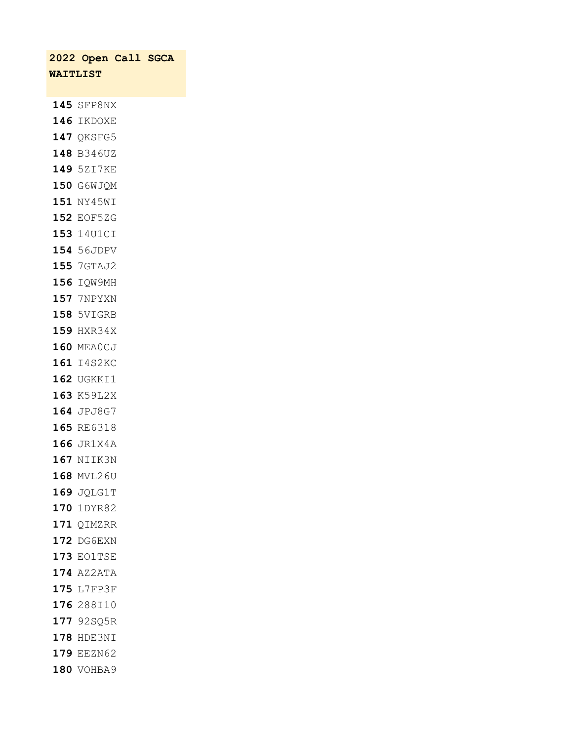|                 | 2022 Open Call SGCA |  |
|-----------------|---------------------|--|
| <b>WAITLIST</b> |                     |  |
|                 |                     |  |
|                 | 145 SFP8NX          |  |
|                 | <b>146 IKDOXE</b>   |  |
|                 | 147 QKSFG5          |  |
|                 | 148 B346UZ          |  |
|                 | 149 5ZI7KE          |  |
|                 | 150 G6WJQM          |  |
|                 | 151 NY45WI          |  |
|                 | 152 EOF5ZG          |  |
|                 | 153 14U1CI          |  |
|                 | 154 56JDPV          |  |
|                 | 155 7GTAJ2          |  |
|                 | 156 IQW9MH          |  |
|                 | <b>157 7NPYXN</b>   |  |
|                 | 158 5VIGRB          |  |
|                 | 159 HXR34X          |  |
|                 | 160 MEA0CJ          |  |
|                 | 161 I4S2KC          |  |
|                 | 162 UGKKI1          |  |
|                 | 163 K59L2X          |  |
|                 | 164 JPJ8G7          |  |
|                 | 165 RE6318          |  |
|                 | 166 JR1X4A          |  |
|                 | 167 NIIK3N          |  |
|                 | 168 MVL26U          |  |
|                 | 169 JQLG1T          |  |
|                 | 170 1DYR82          |  |
|                 | 171 QIMZRR          |  |
|                 | <b>172 DG6EXN</b>   |  |
|                 | <b>173 EO1TSE</b>   |  |
|                 | 174 AZ2ATA          |  |
|                 | 175 L7FP3F          |  |
|                 | 176 288I10          |  |
|                 | 177 92SQ5R          |  |
|                 | 178 HDE3NI          |  |
|                 | 179 EEZN62          |  |
|                 | 180 VOHBA9          |  |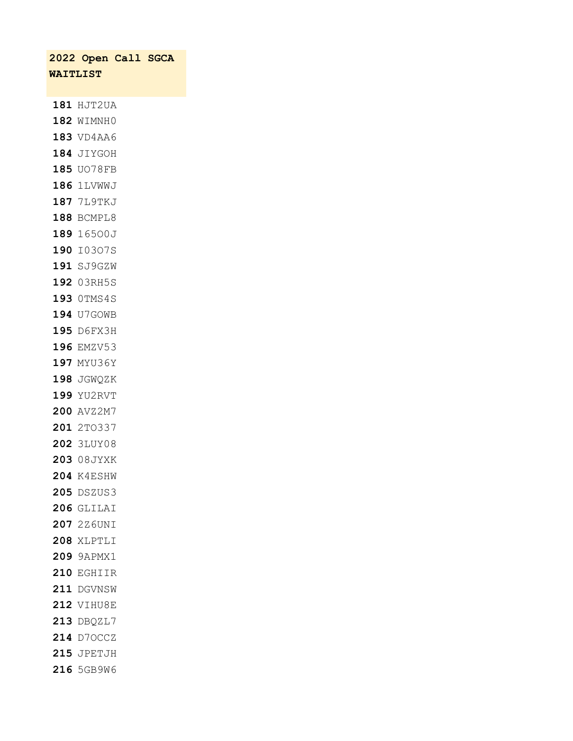|          | 2022 Open Call SGCA |  |
|----------|---------------------|--|
| WAITLIST |                     |  |
|          |                     |  |
|          | 181 HJT2UA          |  |
|          | 182 WIMNH0          |  |
|          | 183 VD4AA6          |  |
|          | 184 JIYGOH          |  |
|          | 185 UO78FB          |  |
|          | 186 1LVWWJ          |  |
|          | 187 7L9TKJ          |  |
|          | 188 BCMPL8          |  |
|          | 189 16500J          |  |
|          | 190 I0307S          |  |
|          | 191 SJ9GZW          |  |
|          | 192 03RH5S          |  |
|          | 193 OTMS4S          |  |
|          | 194 U7GOWB          |  |
|          | 195 D6FX3H          |  |
|          | 196 EMZV53          |  |
|          | 197 MYU36Y          |  |
|          | 198 JGWQZK          |  |
|          | 199 YU2RVT          |  |
|          | 200 AVZ2M7          |  |
|          | 201 2T0337          |  |
|          | <b>202 3LUY08</b>   |  |
|          | 203 08JYXK          |  |
|          | <b>204 K4ESHW</b>   |  |
|          | 205 DSZUS3          |  |
|          | <b>206 GLILAI</b>   |  |
|          | 207 2Z6UNI          |  |
|          | 208 XLPTLI          |  |
|          | 209 9APMX1          |  |
|          | 210 EGHIIR          |  |
|          | 211 DGVNSW          |  |
|          | <b>212 VIHU8E</b>   |  |
|          | 213 DBQZL7          |  |
|          | 214 D70CCZ          |  |
|          | <b>215 JPETJH</b>   |  |
|          | 216 5GB9W6          |  |